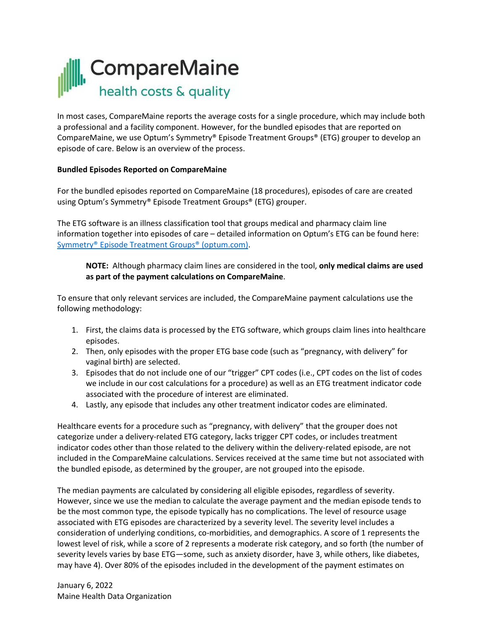

In most cases, CompareMaine reports the average costs for a single procedure, which may include both a professional and a facility component. However, for the bundled episodes that are reported on CompareMaine, we use Optum's Symmetry® Episode Treatment Groups® (ETG) grouper to develop an episode of care. Below is an overview of the process.

## **Bundled Episodes Reported on CompareMaine**

For the bundled episodes reported on CompareMaine (18 procedures), episodes of care are created using Optum's Symmetry® Episode Treatment Groups® (ETG) grouper.

The ETG software is an illness classification tool that groups medical and pharmacy claim line information together into episodes of care – detailed information on Optum's ETG can be found here: [Symmetry® Episode Treatment Groups® \(optum.com\).](https://www.optum.com/content/dam/optum3/optum/en/resources/white-papers/Symmetry_ETG_White_Paper_Analytics_815.pdf)

**NOTE:** Although pharmacy claim lines are considered in the tool, **only medical claims are used as part of the payment calculations on CompareMaine**.

To ensure that only relevant services are included, the CompareMaine payment calculations use the following methodology:

- 1. First, the claims data is processed by the ETG software, which groups claim lines into healthcare episodes.
- 2. Then, only episodes with the proper ETG base code (such as "pregnancy, with delivery" for vaginal birth) are selected.
- 3. Episodes that do not include one of our "trigger" CPT codes (i.e., CPT codes on the list of codes we include in our cost calculations for a procedure) as well as an ETG treatment indicator code associated with the procedure of interest are eliminated.
- 4. Lastly, any episode that includes any other treatment indicator codes are eliminated.

Healthcare events for a procedure such as "pregnancy, with delivery" that the grouper does not categorize under a delivery-related ETG category, lacks trigger CPT codes, or includes treatment indicator codes other than those related to the delivery within the delivery-related episode, are not included in the CompareMaine calculations. Services received at the same time but not associated with the bundled episode, as determined by the grouper, are not grouped into the episode.

The median payments are calculated by considering all eligible episodes, regardless of severity. However, since we use the median to calculate the average payment and the median episode tends to be the most common type, the episode typically has no complications. The level of resource usage associated with ETG episodes are characterized by a severity level. The severity level includes a consideration of underlying conditions, co-morbidities, and demographics. A score of 1 represents the lowest level of risk, while a score of 2 represents a moderate risk category, and so forth (the number of severity levels varies by base ETG—some, such as anxiety disorder, have 3, while others, like diabetes, may have 4). Over 80% of the episodes included in the development of the payment estimates on

January 6, 2022 Maine Health Data Organization